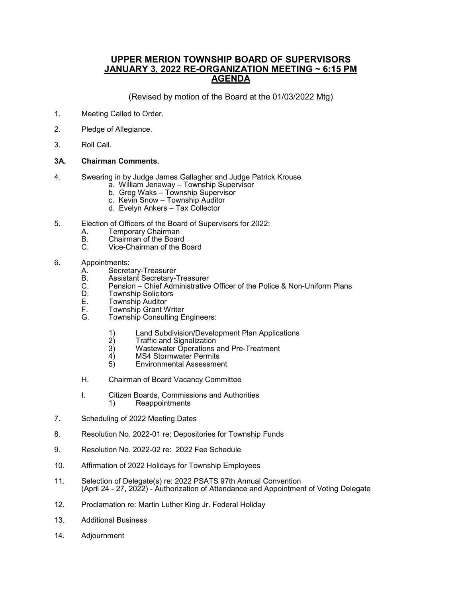## **UPPER MERION TOWNSHIP BOARD OF SUPERVISORS JANUARY 3, 2022 RE-ORGANIZATION MEETING ~ 6:15 PM AGENDA**

(Revised by motion of the Board at the 01/03/2022 Mtg)

- 1. Meeting Called to Order.
- 2. Pledge of Allegiance.
- 3. Roll Call.

## **3A. Chairman Comments.**

- 4. Swearing in by Judge James Gallagher and Judge Patrick Krouse
	- a. William Jenaway Township Supervisor
	- b. Greg Waks Township Supervisor
	- c. Kevin Snow Township Auditor
	- d. Evelyn Ankers Tax Collector
- 5. Election of Officers of the Board of Supervisors for 2022:
	- A. Temporary Chairman<br>B. Chairman of the Board
	- B. Chairman of the Board<br>C. Vice-Chairman of the B
	- Vice-Chairman of the Board
- 6. Appointments:<br>A. Secret
	- A. Secretary-Treasurer<br>B. Assistant Secretary-
	- B. Assistant<sup>'</sup> Secretary-Treasurer<br>C. Pension Chief Administrative
	- C. Pension Chief Administrative Officer of the Police & Non-Uniform Plans
	- D. Township Solicitors<br>E. Township Auditor
	- E. Township Auditor<br>F. Township Grant W
	- F. Township Grant Writer<br>G. Township Consulting E
	- Township Consulting Engineers:
		- 1) Land Subdivision/Development Plan Applications
		- 2) Traffic and Signalization<br>3) Wastewater Operations
		- 3) Wastewater Operations and Pre-Treatment
		- 4) MS4 Stormwater Permits<br>5) Environmental Assessme
		- 5) Environmental Assessment
	- H. Chairman of Board Vacancy Committee
	- I. Citizen Boards, Commissions and Authorities
		- 1) Reappointments
- 7. Scheduling of 2022 Meeting Dates
- 8. Resolution No. 2022-01 re: Depositories for Township Funds
- 9. Resolution No. 2022-02 re: 2022 Fee Schedule
- 10. Affirmation of 2022 Holidays for Township Employees
- 11. Selection of Delegate(s) re: 2022 PSATS 97th Annual Convention (April 24 - 27, 2022) - Authorization of Attendance and Appointment of Voting Delegate
- 12. Proclamation re: Martin Luther King Jr. Federal Holiday
- 13. Additional Business
- 14. Adjournment